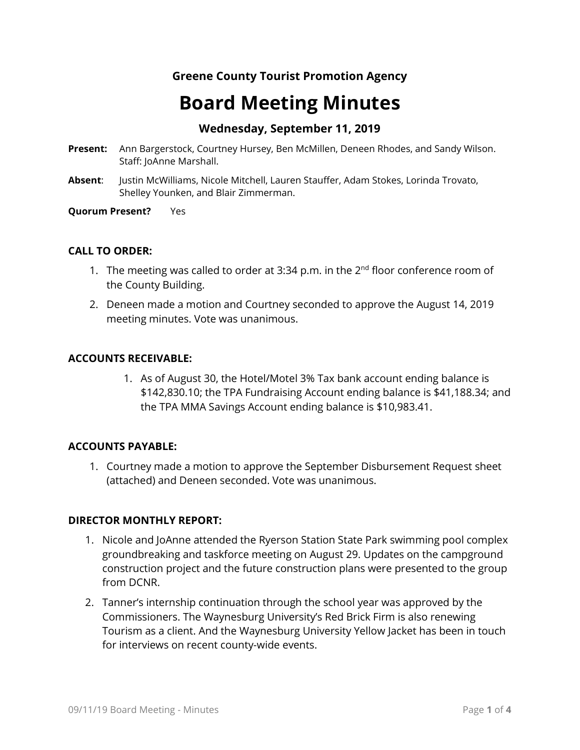# **Greene County Tourist Promotion Agency**

# **Board Meeting Minutes**

# **Wednesday, September 11, 2019**

- **Present:** Ann Bargerstock, Courtney Hursey, Ben McMillen, Deneen Rhodes, and Sandy Wilson. Staff: JoAnne Marshall.
- **Absent**: Justin McWilliams, Nicole Mitchell, Lauren Stauffer, Adam Stokes, Lorinda Trovato, Shelley Younken, and Blair Zimmerman.

#### **Quorum Present?** Yes

#### **CALL TO ORDER:**

- 1. The meeting was called to order at 3:34 p.m. in the  $2<sup>nd</sup>$  floor conference room of the County Building.
- 2. Deneen made a motion and Courtney seconded to approve the August 14, 2019 meeting minutes. Vote was unanimous.

#### **ACCOUNTS RECEIVABLE:**

1. As of August 30, the Hotel/Motel 3% Tax bank account ending balance is \$142,830.10; the TPA Fundraising Account ending balance is \$41,188.34; and the TPA MMA Savings Account ending balance is \$10,983.41.

#### **ACCOUNTS PAYABLE:**

1. Courtney made a motion to approve the September Disbursement Request sheet (attached) and Deneen seconded. Vote was unanimous.

#### **DIRECTOR MONTHLY REPORT:**

- 1. Nicole and JoAnne attended the Ryerson Station State Park swimming pool complex groundbreaking and taskforce meeting on August 29. Updates on the campground construction project and the future construction plans were presented to the group from DCNR.
- 2. Tanner's internship continuation through the school year was approved by the Commissioners. The Waynesburg University's Red Brick Firm is also renewing Tourism as a client. And the Waynesburg University Yellow Jacket has been in touch for interviews on recent county-wide events.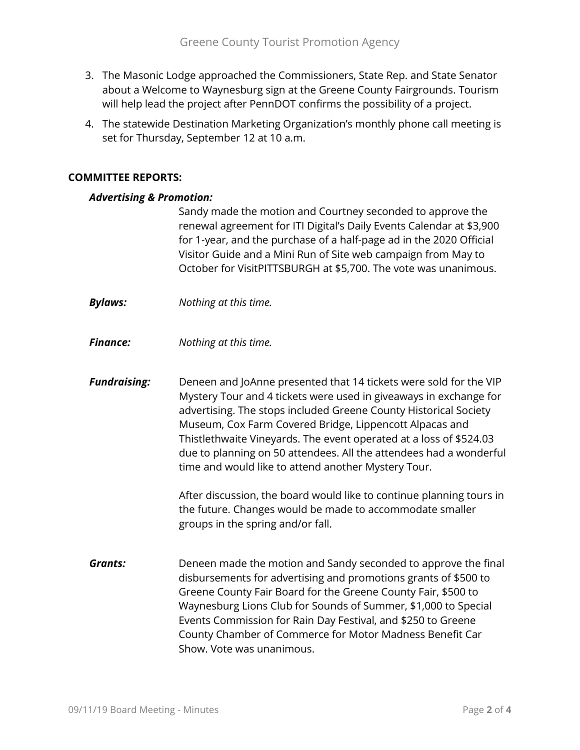- 3. The Masonic Lodge approached the Commissioners, State Rep. and State Senator about a Welcome to Waynesburg sign at the Greene County Fairgrounds. Tourism will help lead the project after PennDOT confirms the possibility of a project.
- 4. The statewide Destination Marketing Organization's monthly phone call meeting is set for Thursday, September 12 at 10 a.m.

## **COMMITTEE REPORTS:**

#### *Advertising & Promotion:*

Sandy made the motion and Courtney seconded to approve the renewal agreement for ITI Digital's Daily Events Calendar at \$3,900 for 1-year, and the purchase of a half-page ad in the 2020 Official Visitor Guide and a Mini Run of Site web campaign from May to October for VisitPITTSBURGH at \$5,700. The vote was unanimous.

- *Bylaws: Nothing at this time.*
- *Finance: Nothing at this time.*
- *Fundraising:* Deneen and JoAnne presented that 14 tickets were sold for the VIP Mystery Tour and 4 tickets were used in giveaways in exchange for advertising. The stops included Greene County Historical Society Museum, Cox Farm Covered Bridge, Lippencott Alpacas and Thistlethwaite Vineyards. The event operated at a loss of \$524.03 due to planning on 50 attendees. All the attendees had a wonderful time and would like to attend another Mystery Tour.

After discussion, the board would like to continue planning tours in the future. Changes would be made to accommodate smaller groups in the spring and/or fall.

*Grants:* Deneen made the motion and Sandy seconded to approve the final disbursements for advertising and promotions grants of \$500 to Greene County Fair Board for the Greene County Fair, \$500 to Waynesburg Lions Club for Sounds of Summer, \$1,000 to Special Events Commission for Rain Day Festival, and \$250 to Greene County Chamber of Commerce for Motor Madness Benefit Car Show. Vote was unanimous.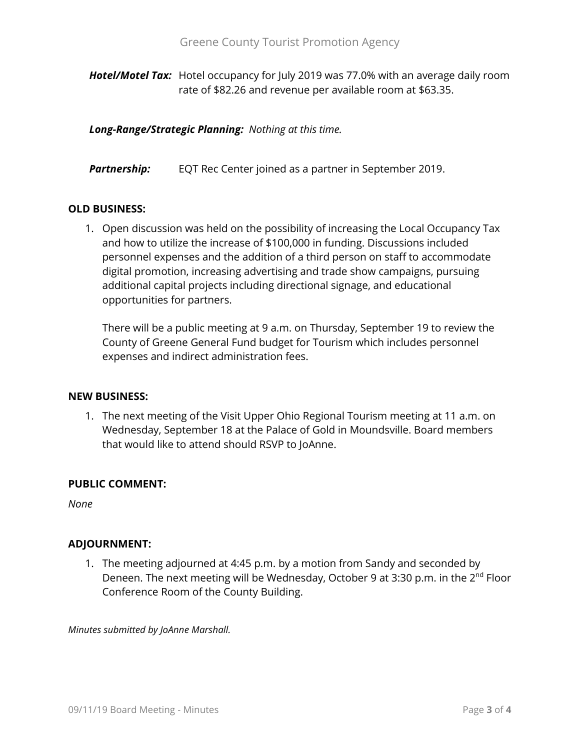*Hotel/Motel Tax:* Hotel occupancy for July 2019 was 77.0% with an average daily room rate of \$82.26 and revenue per available room at \$63.35.

*Long-Range/Strategic Planning: Nothing at this time.*

**Partnership:** EQT Rec Center joined as a partner in September 2019.

### **OLD BUSINESS:**

1. Open discussion was held on the possibility of increasing the Local Occupancy Tax and how to utilize the increase of \$100,000 in funding. Discussions included personnel expenses and the addition of a third person on staff to accommodate digital promotion, increasing advertising and trade show campaigns, pursuing additional capital projects including directional signage, and educational opportunities for partners.

There will be a public meeting at 9 a.m. on Thursday, September 19 to review the County of Greene General Fund budget for Tourism which includes personnel expenses and indirect administration fees.

#### **NEW BUSINESS:**

1. The next meeting of the Visit Upper Ohio Regional Tourism meeting at 11 a.m. on Wednesday, September 18 at the Palace of Gold in Moundsville. Board members that would like to attend should RSVP to JoAnne.

#### **PUBLIC COMMENT:**

*None*

## **ADJOURNMENT:**

1. The meeting adjourned at 4:45 p.m. by a motion from Sandy and seconded by Deneen. The next meeting will be Wednesday, October 9 at 3:30 p.m. in the 2<sup>nd</sup> Floor Conference Room of the County Building.

*Minutes submitted by JoAnne Marshall.*